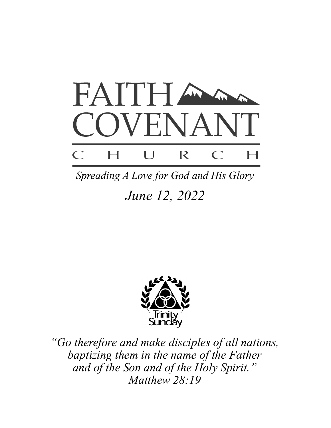

# *June 12, 2022 Spreading A Love for God and His Glory*



*"Go therefore and make disciples of all nations, baptizing them in the name of the Father and of the Son and of the Holy Spirit." Matthew 28:19*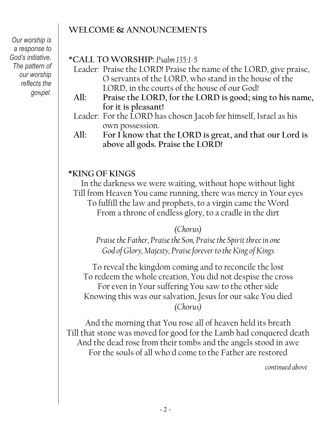# **WELCOME & ANNOUNCEMENTS**

*Our worship is a response to God's initiative. The pattern of our worship reflects the go*s*pel.*

# \***CALL TO WORSHIP:** *Psalm 135:1-5*

- Leader: Praise the LORD! Praise the name of the LORD, give praise, O servants of the LORD, who stand in the house of the LORD, in the courts of the house of our God!
- **All: Praise the LORD, for the LORD is good; sing to his name, for it is pleasant!**
- Leader: For the LORD has chosen Jacob for himself, Israel as his own possession.
- **All: For I know that the LORD is great, and that our Lord is above all gods. Praise the LORD!**

# **\*KING OF KINGS**

In the darkness we were waiting, without hope without light Till from Heaven You came running, there was mercy in Your eyes To fulfill the law and prophets, to a virgin came the Word From a throne of endless glory, to a cradle in the dirt

*(Chorus)*

*Praise the Father, Praise the Son, Praise the Spirit three in one God of Glory, Majesty, Praise forever to the King of Kings*

To reveal the kingdom coming and to reconcile the lost To redeem the whole creation, You did not despise the cross For even in Your suffering You saw to the other side Knowing this was our salvation, Jesus for our sake You died *(Chorus)*

And the morning that You rose all of heaven held its breath Till that stone was moved for good for the Lamb had conquered death And the dead rose from their tombs and the angels stood in awe For the souls of all who'd come to the Father are restored

*continued above*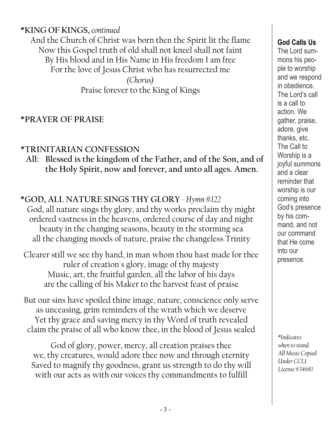**\*KING OF KINGS,** *continued*

And the Church of Christ was born then the Spirit lit the flame Now this Gospel truth of old shall not kneel shall not faint By His blood and in His Name in His freedom I am free For the love of Jesus Christ who has resurrected me *(Chorus)* Praise forever to the King of Kings

## **\*PRAYER OF PRAISE**

# **\*TRINITARIAN CONFESSION**

**All: Blessed is the kingdom of the Father, and of the Son, and of the Holy Spirit, now and forever, and unto all ages. Amen.**

**\*GOD, ALL NATURE SINGS THY GLORY** *-Hymn #122* God, all nature sings thy glory, and thy works proclaim thy might ordered vastness in the heavens, ordered course of day and night beauty in the changing seasons, beauty in the storming sea all the changing moods of nature, praise the changeless Trinity

Clearer still we see thy hand, in man whom thou hast made for thee ruler of creation's glory, image of thy majesty Music, art, the fruitful garden, all the labor of his days are the calling of his Maker to the harvest feast of praise

But our sins have spoiled thine image, nature, conscience only serve as unceasing, grim reminders of the wrath which we deserve Yet thy grace and saving mercy in thy Word of truth revealed claim the praise of all who know thee, in the blood of Jesus sealed

God of glory, power, mercy, all creation praises thee we, thy creatures, would adore thee now and through eternity Saved to magnify thy goodness, grant us strength to do thy will with our acts as with our voices thy commandments to fulfill

## **God Calls Us**

The Lord summons his people to worship and we respond in obedience. The Lord's call is a call to action. We gather, praise, adore, give thanks, etc. The Call to Worship is a joyful summons and a clear reminder that worship is our coming into God's presence by his command, and not our command that He come into our presence.

*\*Indicates when to stand. All Music Copied Under CCLI License #34680*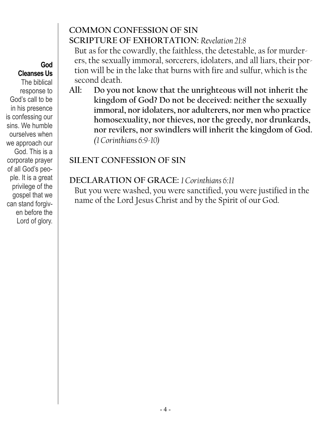# **COMMON CONFESSION OF SIN SCRIPTURE OF EXHORTATION:** *Revelation 21:8*

But as for the cowardly, the faithless, the detestable, as for murderers, the sexually immoral, sorcerers, idolaters, and all liars, their portion will be in the lake that burns with fire and sulfur, which is the second death.

**All: Do you not know that the unrighteous will not inherit the kingdom of God? Do not be deceived: neither the sexually immoral, nor idolaters, nor adulterers, nor men who practice homosexuality, nor thieves, nor the greedy, nor drunkards, nor revilers, nor swindlers will inherit the kingdom of God.**  *(1 Corinthians 6:9-10)*

# **SILENT CONFESSION OF SIN**

# **DECLARATION OF GRACE:** *1 Corinthians 6:11*

But you were washed, you were sanctified, you were justified in the name of the Lord Jesus Christ and by the Spirit of our God.

## **God Cleanses Us**

The biblical response to God's call to be in his presence is confessing our sins. We humble ourselves when we approach our God. This is a corporate prayer of all God's people. It is a great privilege of the gospel that we can stand forgiven before the Lord of glory.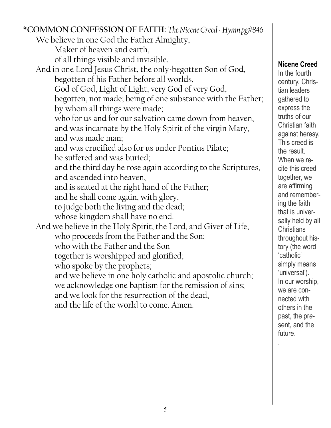**\*COMMON CONFESSION OF FAITH:** *The Nicene Creed -Hymn pg#846* We believe in one God the Father Almighty, Maker of heaven and earth, of all things visible and invisible. And in one Lord Jesus Christ, the only-begotten Son of God, begotten of his Father before all worlds, God of God, Light of Light, very God of very God, begotten, not made; being of one substance with the Father; by whom all things were made; who for us and for our salvation came down from heaven, and was incarnate by the Holy Spirit of the virgin Mary, and was made man; and was crucified also for us under Pontius Pilate; he suffered and was buried; and the third day he rose again according to the Scriptures, and ascended into heaven, and is seated at the right hand of the Father; and he shall come again, with glory, to judge both the living and the dead; whose kingdom shall have no end. And we believe in the Holy Spirit, the Lord, and Giver of Life, who proceeds from the Father and the Son; who with the Father and the Son together is worshipped and glorified; who spoke by the prophets; and we believe in one holy catholic and apostolic church; we acknowledge one baptism for the remission of sins; and we look for the resurrection of the dead, and the life of the world to come. Amen. **Nicene Creed** In the fourth century, Christian leaders gathered to express the truths of our Christian faith against heresy. This creed is the result. When we recite this creed together, we are affirming and remembering the faith that is universally held by all **Christians** throughout history (the word 'catholic' simply means 'universal'). In our worship, we are connected with others in the past, the pr*e-*

sent, and the

future.

.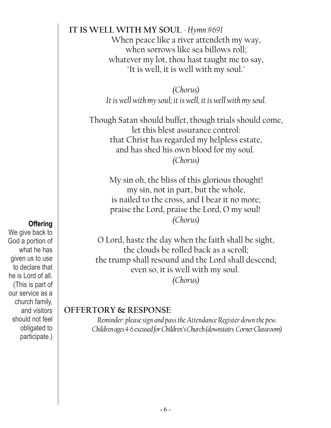## **IT IS WELL WITH MY SOUL** *- Hymn #691*

When peace like a river attendeth my way, when sorrows like sea billows roll; whatever my lot, thou hast taught me to say, "It is well, it is well with my soul."

*(Chorus) It is well with my soul; it is well, it is well with my soul.*

Though Satan should buffet, though trials should come, let this blest assurance control: that Christ has regarded my helpless estate, and has shed his own blood for my soul. *(Chorus)*

> My sin oh, the bliss of this glorious thought! my sin, not in part, but the whole, is nailed to the cross, and I bear it no more; praise the Lord, praise the Lord, O my soul! *(Chorus)*

O Lord, haste the day when the faith shall be sight, the clouds be rolled back as a scroll; the trump shall resound and the Lord shall descend; even so, it is well with my soul. *(Chorus)*

## **OFFERTORY & RESPONSE**

*Reminder: please sign and pass the Attendance Register down the pew. Children ages 4-6 excused for Children's Church (downstairs Corner Classroom)*

# **Offering**

We give back to God a portion of what he has given us to use to declare that he is Lord of all. (This is part of our service as a church family, and visitors should not feel obligated to participate.)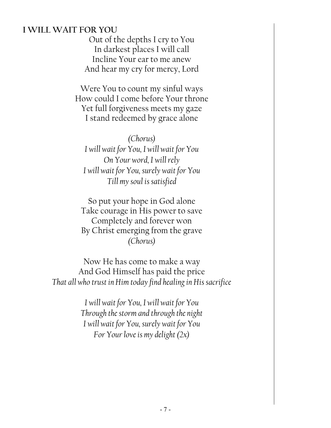#### **I WILL WAIT FOR YOU**

Out of the depths I cry to You In darkest places I will call Incline Your ear to me anew And hear my cry for mercy, Lord

Were You to count my sinful ways How could I come before Your throne Yet full forgiveness meets my gaze I stand redeemed by grace alone

*(Chorus) I will wait for You, I will wait for You On Your word, I will rely I will wait for You, surely wait for You Till my soul is satisfied*

So put your hope in God alone Take courage in His power to save Completely and forever won By Christ emerging from the grave *(Chorus)*

Now He has come to make a way And God Himself has paid the price *That all who trust in Him today find healing in His sacrifice*

> *I will wait for You, I will wait for You Through the storm and through the night I will wait for You, surely wait for You For Your love is my delight (2x)*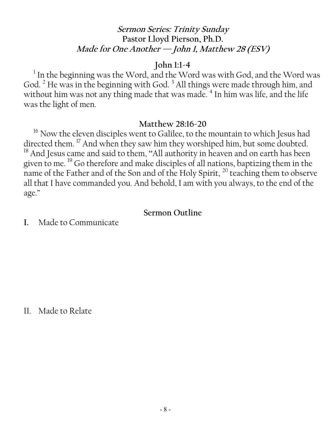## **Sermon Series: Trinity Sunday Pastor Lloyd Pierson, Ph.D. Made for One Another — John 1, Matthew 28 (ESV)**

### **John 1:1-4**

<sup>1</sup> In the beginning was the Word, and the Word was with God, and the Word was God.<sup>2</sup> He was in the beginning with God.<sup>3</sup> All things were made through him, and without him was not any thing made that was made.  $\frac{4}{1}$  In him was life, and the life was the light of men.

#### **Matthew 28:16-20**

<sup>16</sup> Now the eleven disciples went to Galilee, to the mountain to which Jesus had directed them. <sup>17</sup> And when they saw him they worshiped him, but some doubted. <sup>18</sup> And Jesus came and said to them, "All authority in heaven and on earth has been given to me. <sup>19</sup> Go therefore and make disciples of all nations, baptizing them in the name of the Father and of the Son and of the Holy Spirit,  $^{20}$  teaching them to observe all that I have commanded you. And behold, I am with you always, to the end of the age."

#### **Sermon Outline**

**I.** Made to Communicate

II. Made to Relate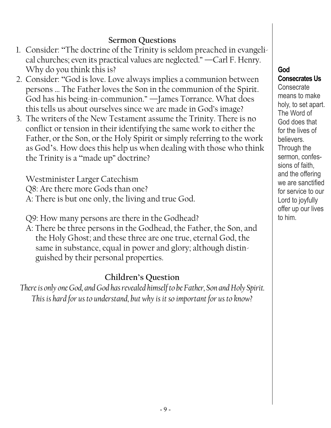## **Sermon Questions**

- 1. Consider: "The doctrine of the Trinity is seldom preached in evangelical churches; even its practical values are neglected." —Carl F. Henry. Why do you think this is?
- 2. Consider: "God is love. Love always implies a communion between persons … The Father loves the Son in the communion of the Spirit. God has his being-in-communion." —James Torrance. What does this tells us about ourselves since we are made in God's image?
- 3. The writers of the New Testament assume the Trinity. There is no conflict or tension in their identifying the same work to either the Father, or the Son, or the Holy Spirit or simply referring to the work as God's. How does this help us when dealing with those who think the Trinity is a "made up" doctrine?

Westminister Larger Catechism

Q8: Are there more Gods than one?

A: There is but one only, the living and true God.

Q9: How many persons are there in the Godhead?

A: There be three persons in the Godhead, the Father, the Son, and the Holy Ghost; and these three are one true, eternal God, the same in substance, equal in power and glory; although distinguished by their personal properties.

## **Children's Question**

*There is only one God, and God has revealed himself to be Father, Son and Holy Spirit. This is hard for us to understand, but why is it so important for us to know?*

# **God**

**Consecrates Us Consecrate** means to make holy, to set apart. The Word of God does that for the lives of believers. Through the sermon, confessions of faith, and the offering we are sanctified for service to our Lord to joyfully offer up our lives to him.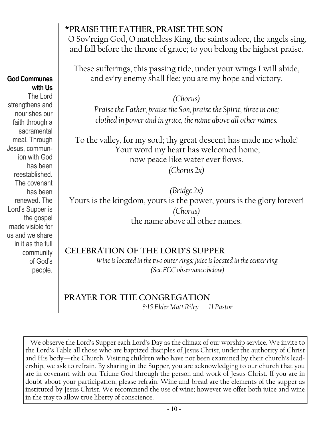## **\*PRAISE THE FATHER, PRAISE THE SON**

O Sov'reign God, O matchless King, the saints adore, the angels sing, and fall before the throne of grace; to you belong the highest praise.

These sufferings, this passing tide, under your wings I will abide, and ev'ry enemy shall flee; you are my hope and victory.

*(Chorus) Praise the Father, praise the Son, praise the Spirit, three in one; clothed in power and in grace, the name above all other names.*

To the valley, for my soul; thy great descent has made me whole! Your word my heart has welcomed home; now peace like water ever flows. *(Chorus 2x)*

*(Bridge 2x)* Yours is the kingdom, yours is the power, yours is the glory forever! *(Chorus)* the name above all other names.

## **CELEBRATION OF THE LORD'S SUPPER**

*Wine is located in the two outer rings; juice is located in the center ring. (See FCC observance below)*

#### **PRAYER FOR THE CONGREGATION** *8:15 Elder Matt Riley —11 Pastor*

We observe the Lord's Supper each Lord's Day as the climax of our worship service. We invite to the Lord's Table all those who are baptized disciples of Jesus Christ, under the authority of Christ and His body—the Church. Visiting children who have not been examined by their church's leadership, we ask to refrain. By sharing in the Supper, you are acknowledging to our church that you are in covenant with our Triune God through the person and work of Jesus Christ. If you are in doubt about your participation, please refrain. Wine and bread are the elements of the supper as instituted by Jesus Christ. We recommend the use of wine; however we offer both juice and wine in the tray to allow true liberty of conscience.

#### **God Communes with Us**

The Lord strengthens and nourishes our faith through a sacramental meal. Through Jesus, communion with God has been reestablished. The covenant has been renewed. The Lord's Supper is the gospel made visible for us and we share in it as the full community of God's people.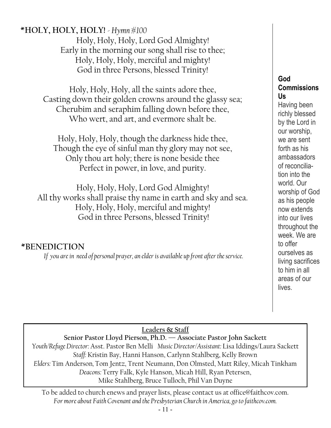**\*HOLY, HOLY, HOLY!** *-Hymn #100*

Holy, Holy, Holy, Lord God Almighty! Early in the morning our song shall rise to thee; Holy, Holy, Holy, merciful and mighty! God in three Persons, blessed Trinity!

Holy, Holy, Holy, all the saints adore thee, Casting down their golden crowns around the glassy sea; Cherubim and seraphim falling down before thee, Who wert, and art, and evermore shalt be.

Holy, Holy, Holy, though the darkness hide thee, Though the eye of sinful man thy glory may not see, Only thou art holy; there is none beside thee Perfect in power, in love, and purity.

Holy, Holy, Holy, Lord God Almighty! All thy works shall praise thy name in earth and sky and sea. Holy, Holy, Holy, merciful and mighty! God in three Persons, blessed Trinity!

## **\*BENEDICTION**

*If you are in need of personal prayer, an elder is available up front after the service.*

#### **God Commissions Us**

Having been richly blessed by the Lord in our worship, we are sent forth as his ambassadors of reconciliation into the world. Our worship of God as his people now extends into our lives throughout the week. We are to offer ourselves as living sacrifices to him in all areas of our lives.

# **Leaders & Staff**

**Senior Pastor Lloyd Pierson, Ph.D. — Associate Pastor John Sackett** *Youth/Refuge Director:* Asst. Pastor Ben Melli *Music Director/Assistant:* Lisa Iddings/Laura Sackett *Staff:* Kristin Bay, Hanni Hanson, Carlynn Stahlberg, Kelly Brown *Elders:* Tim Anderson*,* Tom Jentz, Trent Neumann, Don Olmsted, Matt Riley, Micah Tinkham *Deacons:* Terry Falk, Kyle Hanson, Micah Hill, Ryan Petersen, Mike Stahlberg, Bruce Tulloch, Phil Van Duyne

To be added to church enews and prayer lists, please contact us at office@faithcov.com. *For more about Faith Covenant and the Presbyterian Church in America, go to faithcov.com.*